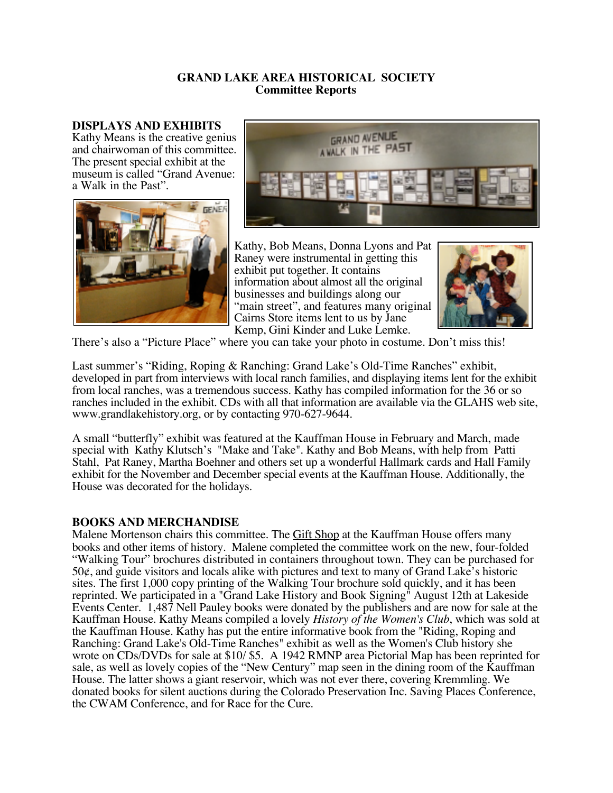### **GRAND LAKE AREA HISTORICAL SOCIETY Committee Reports**

#### **DISPLAYS AND EXHIBITS**

Kathy Means is the creative genius and chairwoman of this committee. The present special exhibit at the museum is called "Grand Avenue: a Walk in the Past".





Kathy, Bob Means, Donna Lyons and Pat Raney were instrumental in getting this exhibit put together. It contains information about almost all the original businesses and buildings along our "main street", and features many original Cairns Store items lent to us by Jane Kemp, Gini Kinder and Luke Lemke.



There's also a "Picture Place" where you can take your photo in costume. Don't miss this!

Last summer's "Riding, Roping & Ranching: Grand Lake's Old-Time Ranches" exhibit, developed in part from interviews with local ranch families, and displaying items lent for the exhibit from local ranches, was a tremendous success. Kathy has compiled information for the 36 or so ranches included in the exhibit. CDs with all that information are available via the GLAHS web site, www.grandlakehistory.org, or by contacting 970-627-9644.

A small "butterfly" exhibit was featured at the Kauffman House in February and March, made special with Kathy Klutsch's "Make and Take". Kathy and Bob Means, with help from Patti Stahl, Pat Raney, Martha Boehner and others set up a wonderful Hallmark cards and Hall Family exhibit for the November and December special events at the Kauffman House. Additionally, the House was decorated for the holidays.

## **BOOKS AND MERCHANDISE**

Malene Mortenson chairs this committee. The Gift Shop at the Kauffman House offers many books and other items of history. Malene completed the committee work on the new, four-folded "Walking Tour" brochures distributed in containers throughout town. They can be purchased for  $50¢$ , and guide visitors and locals alike with pictures and text to many of Grand Lake's historic sites. The first 1,000 copy printing of the Walking Tour brochure sold quickly, and it has been reprinted. We participated in a "Grand Lake History and Book Signing" August 12th at Lakeside Events Center. 1,487 Nell Pauley books were donated by the publishers and are now for sale at the Kauffman House. Kathy Means compiled a lovely *History of the Women's Club*, which was sold at the Kauffman House. Kathy has put the entire informative book from the "Riding, Roping and Ranching: Grand Lake's Old-Time Ranches" exhibit as well as the Women's Club history she wrote on CDs/DVDs for sale at \$10/ \$5. A 1942 RMNP area Pictorial Map has been reprinted for sale, as well as lovely copies of the "New Century" map seen in the dining room of the Kauffman House. The latter shows a giant reservoir, which was not ever there, covering Kremmling. We donated books for silent auctions during the Colorado Preservation Inc. Saving Places Conference, the CWAM Conference, and for Race for the Cure.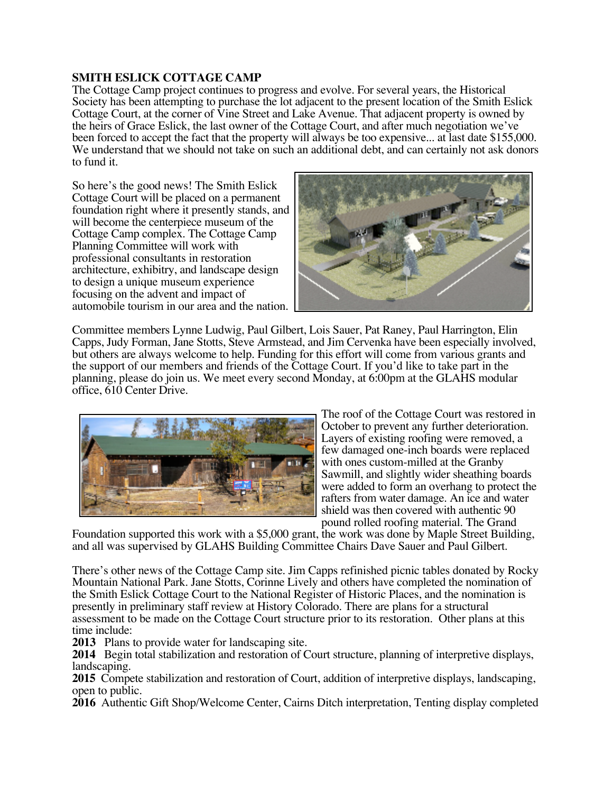## **SMITH ESLICK COTTAGE CAMP**

The Cottage Camp project continues to progress and evolve. For several years, the Historical Society has been attempting to purchase the lot adjacent to the present location of the Smith Eslick Cottage Court, at the corner of Vine Street and Lake Avenue. That adjacent property is owned by the heirs of Grace Eslick, the last owner of the Cottage Court, and after much negotiation we've been forced to accept the fact that the property will always be too expensive... at last date \$155,000. We understand that we should not take on such an additional debt, and can certainly not ask donors to fund it.

So here's the good news! The Smith Eslick Cottage Court will be placed on a permanent foundation right where it presently stands, and will become the centerpiece museum of the Cottage Camp complex. The Cottage Camp Planning Committee will work with professional consultants in restoration architecture, exhibitry, and landscape design to design a unique museum experience focusing on the advent and impact of automobile tourism in our area and the nation.



Committee members Lynne Ludwig, Paul Gilbert, Lois Sauer, Pat Raney, Paul Harrington, Elin Capps, Judy Forman, Jane Stotts, Steve Armstead, and Jim Cervenka have been especially involved, but others are always welcome to help. Funding for this effort will come from various grants and the support of our members and friends of the Cottage Court. If you'd like to take part in the planning, please do join us. We meet every second Monday, at 6:00pm at the GLAHS modular office, 610 Center Drive.



The roof of the Cottage Court was restored in October to prevent any further deterioration. Layers of existing roofing were removed, a few damaged one-inch boards were replaced with ones custom-milled at the Granby Sawmill, and slightly wider sheathing boards were added to form an overhang to protect the rafters from water damage. An ice and water shield was then covered with authentic 90 pound rolled roofing material. The Grand

Foundation supported this work with a \$5,000 grant, the work was done by Maple Street Building, and all was supervised by GLAHS Building Committee Chairs Dave Sauer and Paul Gilbert.

There's other news of the Cottage Camp site. Jim Capps refinished picnic tables donated by Rocky Mountain National Park. Jane Stotts, Corinne Lively and others have completed the nomination of the Smith Eslick Cottage Court to the National Register of Historic Places, and the nomination is presently in preliminary staff review at History Colorado. There are plans for a structural assessment to be made on the Cottage Court structure prior to its restoration. Other plans at this time include:

**2013** Plans to provide water for landscaping site.

**2014** Begin total stabilization and restoration of Court structure, planning of interpretive displays, landscaping.

**2015** Compete stabilization and restoration of Court, addition of interpretive displays, landscaping, open to public.

**2016** Authentic Gift Shop/Welcome Center, Cairns Ditch interpretation, Tenting display completed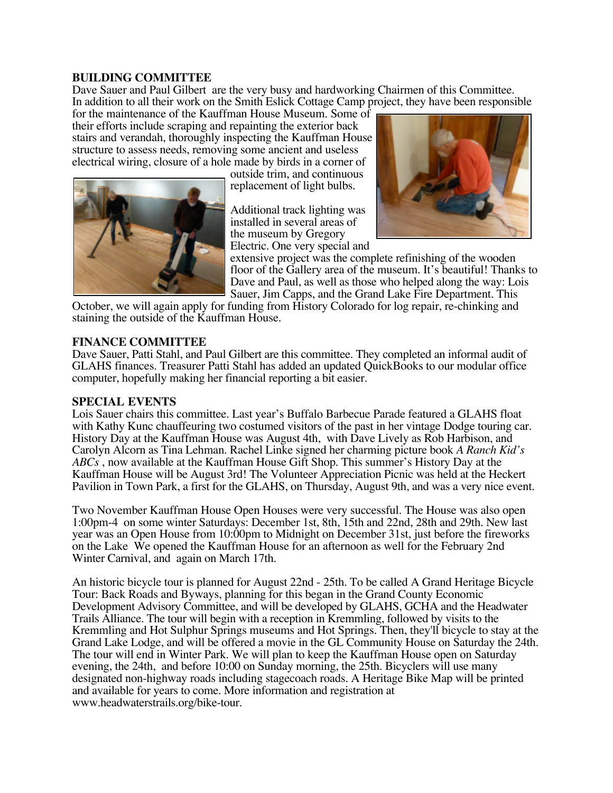## **BUILDING COMMITTEE**

Dave Sauer and Paul Gilbert are the very busy and hardworking Chairmen of this Committee. In addition to all their work on the Smith Eslick Cottage Camp project, they have been responsible

for the maintenance of the Kauffman House Museum. Some of their efforts include scraping and repainting the exterior back stairs and verandah, thoroughly inspecting the Kauffman House structure to assess needs, removing some ancient and useless electrical wiring, closure of a hole made by birds in a corner of

outside trim, and continuous replacement of light bulbs.

Additional track lighting was installed in several areas of the museum by Gregory Electric. One very special and



extensive project was the complete refinishing of the wooden floor of the Gallery area of the museum. It's beautiful! Thanks to Dave and Paul, as well as those who helped along the way: Lois Sauer, Jim Capps, and the Grand Lake Fire Department. This

October, we will again apply for funding from History Colorado for log repair, re-chinking and staining the outside of the Kauffman House.

## **FINANCE COMMITTEE**

Dave Sauer, Patti Stahl, and Paul Gilbert are this committee. They completed an informal audit of GLAHS finances. Treasurer Patti Stahl has added an updated QuickBooks to our modular office computer, hopefully making her financial reporting a bit easier.

#### **SPECIAL EVENTS**

Lois Sauer chairs this committee. Last year's Buffalo Barbecue Parade featured a GLAHS float with Kathy Kunc chauffeuring two costumed visitors of the past in her vintage Dodge touring car. History Day at the Kauffman House was August 4th, with Dave Lively as Rob Harbison, and Carolyn Alcorn as Tina Lehman. Rachel Linke signed her charming picture book *A Ranch Kid's ABCs* , now available at the Kauffman House Gift Shop. This summer's History Day at the Kauffman House will be August 3rd! The Volunteer Appreciation Picnic was held at the Heckert Pavilion in Town Park, a first for the GLAHS, on Thursday, August 9th, and was a very nice event.

Two November Kauffman House Open Houses were very successful. The House was also open 1:00pm-4 on some winter Saturdays: December 1st, 8th, 15th and 22nd, 28th and 29th. New last year was an Open House from 10:00pm to Midnight on December 31st, just before the fireworks on the Lake We opened the Kauffman House for an afternoon as well for the February 2nd Winter Carnival, and again on March 17th.

An historic bicycle tour is planned for August 22nd - 25th. To be called A Grand Heritage Bicycle Tour: Back Roads and Byways, planning for this began in the Grand County Economic Development Advisory Committee, and will be developed by GLAHS, GCHA and the Headwater Trails Alliance. The tour will begin with a reception in Kremmling, followed by visits to the Kremmling and Hot Sulphur Springs museums and Hot Springs. Then, they'll bicycle to stay at the Grand Lake Lodge, and will be offered a movie in the GL Community House on Saturday the 24th. The tour will end in Winter Park. We will plan to keep the Kauffman House open on Saturday evening, the 24th, and before 10:00 on Sunday morning, the 25th. Bicyclers will use many designated non-highway roads including stagecoach roads. A Heritage Bike Map will be printed and available for years to come. More information and registration at www.headwaterstrails.org/bike-tour.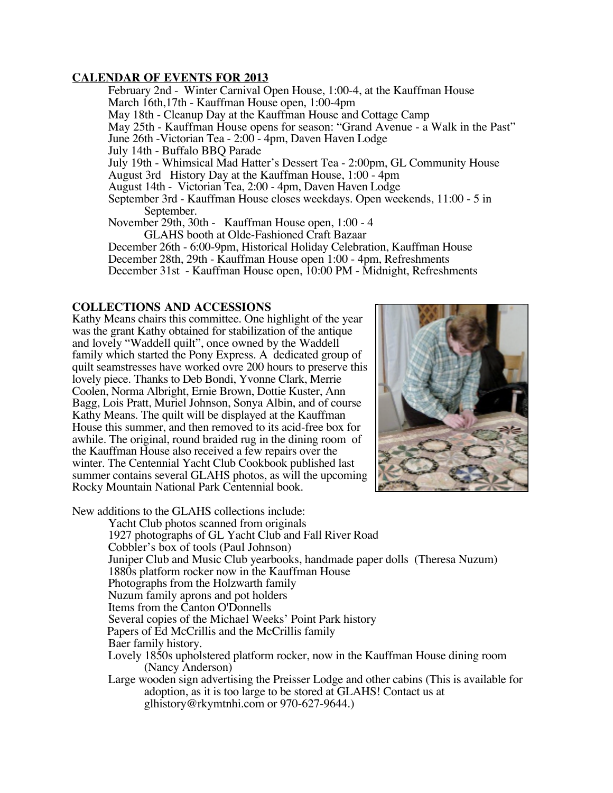## **CALENDAR OF EVENTS FOR 2013**

February 2nd - Winter Carnival Open House, 1:00-4, at the Kauffman House March 16th,17th - Kauffman House open, 1:00-4pm May 18th - Cleanup Day at the Kauffman House and Cottage Camp May 25th - Kauffman House opens for season: "Grand Avenue - a Walk in the Past" June 26th -Victorian Tea - 2:00 - 4pm, Daven Haven Lodge July 14th - Buffalo BBQ Parade July 19th - Whimsical Mad Hatter's Dessert Tea - 2:00pm, GL Community House August 3rd History Day at the Kauffman House, 1:00 - 4pm August 14th - Victorian Tea, 2:00 - 4pm, Daven Haven Lodge September 3rd - Kauffman House closes weekdays. Open weekends, 11:00 - 5 in September. November 29th, 30th - Kauffman House open, 1:00 - 4 GLAHS booth at Olde-Fashioned Craft Bazaar December 26th - 6:00-9pm, Historical Holiday Celebration, Kauffman House December 28th, 29th - Kauffman House open 1:00 - 4pm, Refreshments

# December 31st - Kauffman House open, 10:00 PM - Midnight, Refreshments

#### **COLLECTIONS AND ACCESSIONS**

Kathy Means chairs this committee. One highlight of the year was the grant Kathy obtained for stabilization of the antique and lovely "Waddell quilt", once owned by the Waddell family which started the Pony Express. A dedicated group of quilt seamstresses have worked ovre 200 hours to preserve this lovely piece. Thanks to Deb Bondi, Yvonne Clark, Merrie Coolen, Norma Albright, Ernie Brown, Dottie Kuster, Ann Bagg, Lois Pratt, Muriel Johnson, Sonya Albin, and of course Kathy Means. The quilt will be displayed at the Kauffman House this summer, and then removed to its acid-free box for awhile. The original, round braided rug in the dining room of the Kauffman House also received a few repairs over the winter. The Centennial Yacht Club Cookbook published last summer contains several GLAHS photos, as will the upcoming Rocky Mountain National Park Centennial book.



New additions to the GLAHS collections include:

Yacht Club photos scanned from originals 1927 photographs of GL Yacht Club and Fall River Road Cobbler's box of tools (Paul Johnson) Juniper Club and Music Club yearbooks, handmade paper dolls (Theresa Nuzum) 1880s platform rocker now in the Kauffman House Photographs from the Holzwarth family Nuzum family aprons and pot holders Items from the Canton O'Donnells Several copies of the Michael Weeks' Point Park history Papers of Ed McCrillis and the McCrillis family Baer family history. Lovely 1850s upholstered platform rocker, now in the Kauffman House dining room (Nancy Anderson) Large wooden sign advertising the Preisser Lodge and other cabins (This is available for adoption, as it is too large to be stored at GLAHS! Contact us at

glhistory@rkymtnhi.com or 970-627-9644.)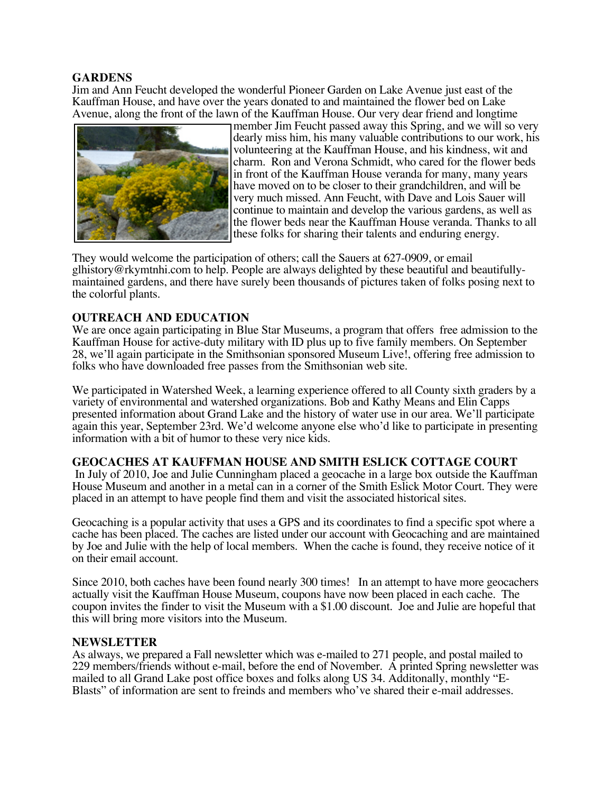### **GARDENS**

Jim and Ann Feucht developed the wonderful Pioneer Garden on Lake Avenue just east of the Kauffman House, and have over the years donated to and maintained the flower bed on Lake Avenue, along the front of the lawn of the Kauffman House. Our very dear friend and longtime



member Jim Feucht passed away this Spring, and we will so very dearly miss him, his many valuable contributions to our work, his volunteering at the Kauffman House, and his kindness, wit and charm. Ron and Verona Schmidt, who cared for the flower beds in front of the Kauffman House veranda for many, many years have moved on to be closer to their grandchildren, and will be very much missed. Ann Feucht, with Dave and Lois Sauer will continue to maintain and develop the various gardens, as well as the flower beds near the Kauffman House veranda. Thanks to all these folks for sharing their talents and enduring energy.

They would welcome the participation of others; call the Sauers at 627-0909, or email glhistory@rkymtnhi.com to help. People are always delighted by these beautiful and beautifullymaintained gardens, and there have surely been thousands of pictures taken of folks posing next to the colorful plants.

## **OUTREACH AND EDUCATION**

We are once again participating in Blue Star Museums, a program that offers free admission to the Kauffman House for active-duty military with ID plus up to five family members. On September 28, we'll again participate in the Smithsonian sponsored Museum Live!, offering free admission to folks who have downloaded free passes from the Smithsonian web site.

We participated in Watershed Week, a learning experience offered to all County sixth graders by a variety of environmental and watershed organizations. Bob and Kathy Means and Elin Capps presented information about Grand Lake and the history of water use in our area. We'll participate again this year, September 23rd. We'd welcome anyone else who'd like to participate in presenting information with a bit of humor to these very nice kids.

#### **GEOCACHES AT KAUFFMAN HOUSE AND SMITH ESLICK COTTAGE COURT**

In July of 2010, Joe and Julie Cunningham placed a geocache in a large box outside the Kauffman House Museum and another in a metal can in a corner of the Smith Eslick Motor Court. They were placed in an attempt to have people find them and visit the associated historical sites.

Geocaching is a popular activity that uses a GPS and its coordinates to find a specific spot where a cache has been placed. The caches are listed under our account with Geocaching and are maintained by Joe and Julie with the help of local members. When the cache is found, they receive notice of it on their email account.

Since 2010, both caches have been found nearly 300 times! In an attempt to have more geocachers actually visit the Kauffman House Museum, coupons have now been placed in each cache. The coupon invites the finder to visit the Museum with a \$1.00 discount. Joe and Julie are hopeful that this will bring more visitors into the Museum.

#### **NEWSLETTER**

As always, we prepared a Fall newsletter which was e-mailed to 271 people, and postal mailed to 229 members/friends without e-mail, before the end of November. A printed Spring newsletter was mailed to all Grand Lake post office boxes and folks along US 34. Additonally, monthly "E-Blasts" of information are sent to freinds and members who've shared their e-mail addresses.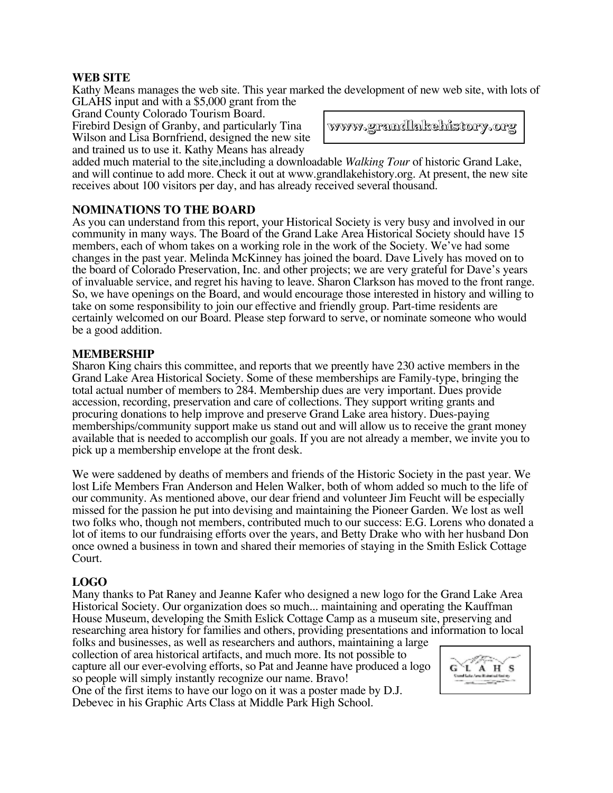# **WEB SITE**

Kathy Means manages the web site. This year marked the development of new web site, with lots of GLAHS input and with a \$5,000 grant from the

Grand County Colorado Tourism Board.

Firebird Design of Granby, and particularly Tina Wilson and Lisa Bornfriend, designed the new site and trained us to use it. Kathy Means has already

**www.grandlakehistory.org www.grandlakehistory.org**

added much material to the site,including a downloadable *Walking Tour* of historic Grand Lake, and will continue to add more. Check it out at www.grandlakehistory.org. At present, the new site receives about 100 visitors per day, and has already received several thousand.

# **NOMINATIONS TO THE BOARD**

As you can understand from this report, your Historical Society is very busy and involved in our community in many ways. The Board of the Grand Lake Area Historical Society should have 15 members, each of whom takes on a working role in the work of the Society. We've had some changes in the past year. Melinda McKinney has joined the board. Dave Lively has moved on to the board of Colorado Preservation, Inc. and other projects; we are very grateful for Dave's years of invaluable service, and regret his having to leave. Sharon Clarkson has moved to the front range. So, we have openings on the Board, and would encourage those interested in history and willing to take on some responsibility to join our effective and friendly group. Part-time residents are certainly welcomed on our Board. Please step forward to serve, or nominate someone who would be a good addition.

## **MEMBERSHIP**

Sharon King chairs this committee, and reports that we preently have 230 active members in the Grand Lake Area Historical Society. Some of these memberships are Family-type, bringing the total actual number of members to 284. Membership dues are very important. Dues provide accession, recording, preservation and care of collections. They support writing grants and procuring donations to help improve and preserve Grand Lake area history. Dues-paying memberships/community support make us stand out and will allow us to receive the grant money available that is needed to accomplish our goals. If you are not already a member, we invite you to pick up a membership envelope at the front desk.

We were saddened by deaths of members and friends of the Historic Society in the past year. We lost Life Members Fran Anderson and Helen Walker, both of whom added so much to the life of our community. As mentioned above, our dear friend and volunteer Jim Feucht will be especially missed for the passion he put into devising and maintaining the Pioneer Garden. We lost as well two folks who, though not members, contributed much to our success: E.G. Lorens who donated a lot of items to our fundraising efforts over the years, and Betty Drake who with her husband Don once owned a business in town and shared their memories of staying in the Smith Eslick Cottage Court.

## **LOGO**

Many thanks to Pat Raney and Jeanne Kafer who designed a new logo for the Grand Lake Area Historical Society. Our organization does so much... maintaining and operating the Kauffman House Museum, developing the Smith Eslick Cottage Camp as a museum site, preserving and researching area history for families and others, providing presentations and information to local

folks and businesses, as well as researchers and authors, maintaining a large collection of area historical artifacts, and much more. Its not possible to capture all our ever-evolving efforts, so Pat and Jeanne have produced a logo so people will simply instantly recognize our name. Bravo! One of the first items to have our logo on it was a poster made by D.J. Debevec in his Graphic Arts Class at Middle Park High School.

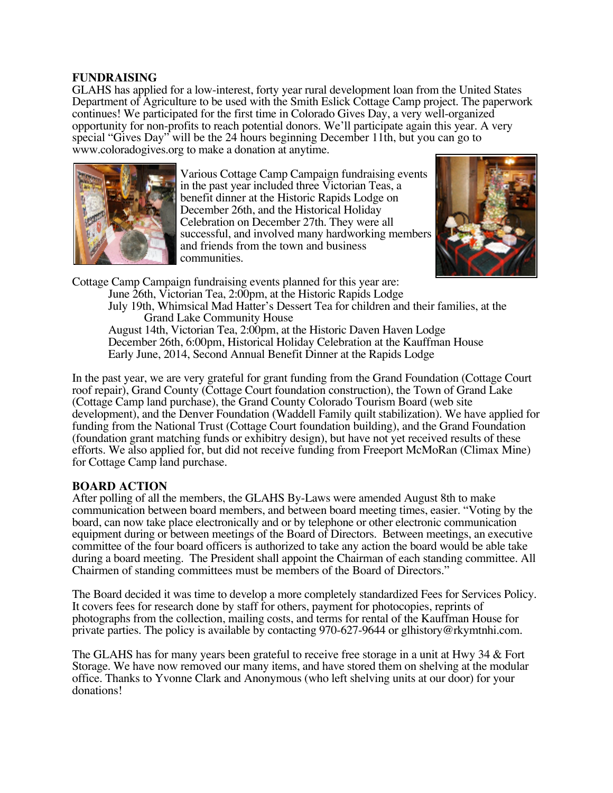## **FUNDRAISING**

GLAHS has applied for a low-interest, forty year rural development loan from the United States Department of Agriculture to be used with the Smith Eslick Cottage Camp project. The paperwork continues! We participated for the first time in Colorado Gives Day, a very well-organized opportunity for non-profits to reach potential donors. We'll participate again this year. A very special "Gives Day" will be the 24 hours beginning December 11th, but you can go to www.coloradogives.org to make a donation at anytime.



Various Cottage Camp Campaign fundraising events in the past year included three Victorian Teas, a benefit dinner at the Historic Rapids Lodge on December 26th, and the Historical Holiday Celebration on December 27th. They were all successful, and involved many hardworking members and friends from the town and business communities.



Cottage Camp Campaign fundraising events planned for this year are: June 26th, Victorian Tea, 2:00pm, at the Historic Rapids Lodge July 19th, Whimsical Mad Hatter's Dessert Tea for children and their families, at the Grand Lake Community House August 14th, Victorian Tea, 2:00pm, at the Historic Daven Haven Lodge December 26th, 6:00pm, Historical Holiday Celebration at the Kauffman House Early June, 2014, Second Annual Benefit Dinner at the Rapids Lodge

In the past year, we are very grateful for grant funding from the Grand Foundation (Cottage Court roof repair), Grand County (Cottage Court foundation construction), the Town of Grand Lake (Cottage Camp land purchase), the Grand County Colorado Tourism Board (web site development), and the Denver Foundation (Waddell Family quilt stabilization). We have applied for funding from the National Trust (Cottage Court foundation building), and the Grand Foundation (foundation grant matching funds or exhibitry design), but have not yet received results of these efforts. We also applied for, but did not receive funding from Freeport McMoRan (Climax Mine) for Cottage Camp land purchase.

## **BOARD ACTION**

After polling of all the members, the GLAHS By-Laws were amended August 8th to make communication between board members, and between board meeting times, easier. "Voting by the board, can now take place electronically and or by telephone or other electronic communication equipment during or between meetings of the Board of Directors. Between meetings, an executive committee of the four board officers is authorized to take any action the board would be able take during a board meeting. The President shall appoint the Chairman of each standing committee. All Chairmen of standing committees must be members of the Board of Directors."

The Board decided it was time to develop a more completely standardized Fees for Services Policy. It covers fees for research done by staff for others, payment for photocopies, reprints of photographs from the collection, mailing costs, and terms for rental of the Kauffman House for private parties. The policy is available by contacting 970-627-9644 or glhistory@rkymtnhi.com.

The GLAHS has for many years been grateful to receive free storage in a unit at Hwy 34 & Fort Storage. We have now removed our many items, and have stored them on shelving at the modular office. Thanks to Yvonne Clark and Anonymous (who left shelving units at our door) for your donations!